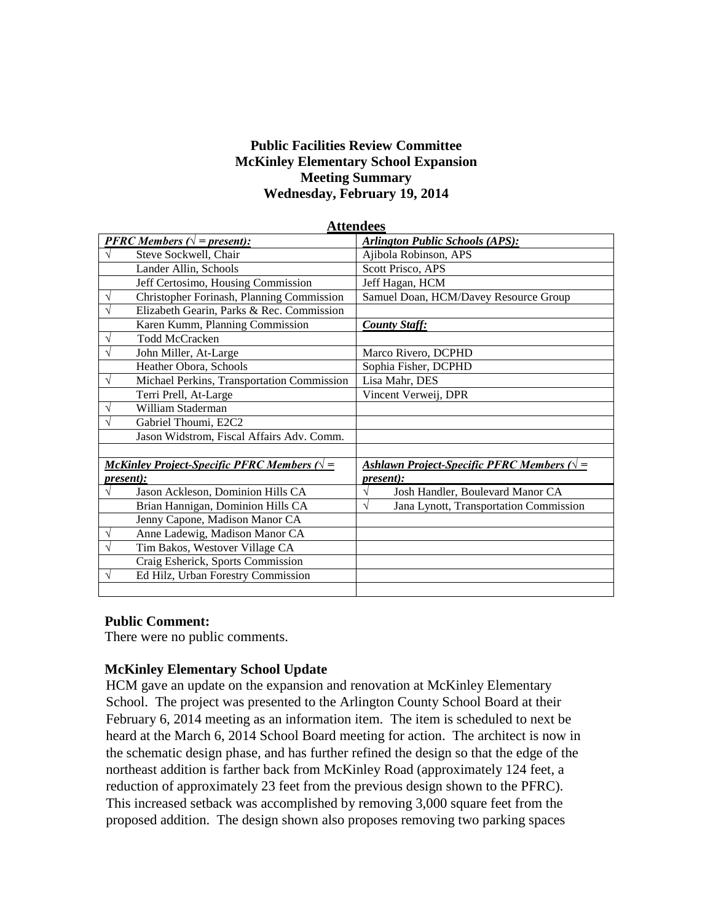### **Public Facilities Review Committee McKinley Elementary School Expansion Meeting Summary Wednesday, February 19, 2014**

| <b>Attendees</b>                                        |                                                                      |
|---------------------------------------------------------|----------------------------------------------------------------------|
| <b>PFRC</b> Members ( $\sqrt{}$ = present):             | <b>Arlington Public Schools (APS):</b>                               |
| $\sqrt{ }$<br>Steve Sockwell, Chair                     | Ajibola Robinson, APS                                                |
| Lander Allin, Schools                                   | Scott Prisco, APS                                                    |
| Jeff Certosimo, Housing Commission                      | Jeff Hagan, HCM                                                      |
| Christopher Forinash, Planning Commission<br>$\sqrt{}$  | Samuel Doan, HCM/Davey Resource Group                                |
| Elizabeth Gearin, Parks & Rec. Commission<br>$\sqrt{}$  |                                                                      |
| Karen Kumm, Planning Commission                         | <b>County Staff:</b>                                                 |
| <b>Todd McCracken</b><br>V                              |                                                                      |
| John Miller, At-Large<br>N                              | Marco Rivero, DCPHD                                                  |
| Heather Obora, Schools                                  | Sophia Fisher, DCPHD                                                 |
| Michael Perkins, Transportation Commission<br>$\sqrt{}$ | Lisa Mahr, DES                                                       |
| Terri Prell, At-Large                                   | Vincent Verweij, DPR                                                 |
| William Staderman                                       |                                                                      |
| Gabriel Thoumi, E2C2                                    |                                                                      |
| Jason Widstrom, Fiscal Affairs Adv. Comm.               |                                                                      |
|                                                         |                                                                      |
| McKinley Project-Specific PFRC Members ( $\sqrt{}$ =    | <b>Ashlawn Project-Specific PFRC Members (<math>\sqrt{}</math> =</b> |
| present):                                               | <i>present</i> ):                                                    |
| Jason Ackleson, Dominion Hills CA                       | Josh Handler, Boulevard Manor CA<br>$\sqrt{}$                        |
| Brian Hannigan, Dominion Hills CA                       | Jana Lynott, Transportation Commission<br>$\sqrt{ }$                 |
| Jenny Capone, Madison Manor CA                          |                                                                      |
| Anne Ladewig, Madison Manor CA<br>V                     |                                                                      |
| Tim Bakos, Westover Village CA                          |                                                                      |
| Craig Esherick, Sports Commission                       |                                                                      |
| Ed Hilz, Urban Forestry Commission<br>$\sqrt{}$         |                                                                      |
|                                                         |                                                                      |

#### **Public Comment:**

There were no public comments.

### **McKinley Elementary School Update**

HCM gave an update on the expansion and renovation at McKinley Elementary School. The project was presented to the Arlington County School Board at their February 6, 2014 meeting as an information item. The item is scheduled to next be heard at the March 6, 2014 School Board meeting for action. The architect is now in the schematic design phase, and has further refined the design so that the edge of the northeast addition is farther back from McKinley Road (approximately 124 feet, a reduction of approximately 23 feet from the previous design shown to the PFRC). This increased setback was accomplished by removing 3,000 square feet from the proposed addition. The design shown also proposes removing two parking spaces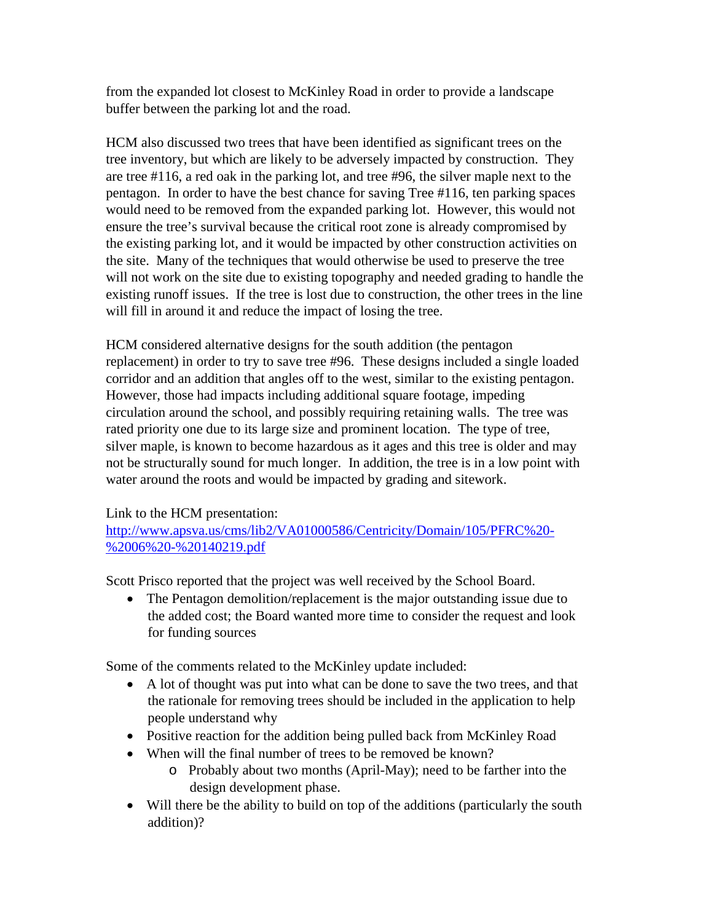from the expanded lot closest to McKinley Road in order to provide a landscape buffer between the parking lot and the road.

HCM also discussed two trees that have been identified as significant trees on the tree inventory, but which are likely to be adversely impacted by construction. They are tree #116, a red oak in the parking lot, and tree #96, the silver maple next to the pentagon. In order to have the best chance for saving Tree #116, ten parking spaces would need to be removed from the expanded parking lot. However, this would not ensure the tree's survival because the critical root zone is already compromised by the existing parking lot, and it would be impacted by other construction activities on the site. Many of the techniques that would otherwise be used to preserve the tree will not work on the site due to existing topography and needed grading to handle the existing runoff issues. If the tree is lost due to construction, the other trees in the line will fill in around it and reduce the impact of losing the tree.

HCM considered alternative designs for the south addition (the pentagon replacement) in order to try to save tree #96. These designs included a single loaded corridor and an addition that angles off to the west, similar to the existing pentagon. However, those had impacts including additional square footage, impeding circulation around the school, and possibly requiring retaining walls. The tree was rated priority one due to its large size and prominent location. The type of tree, silver maple, is known to become hazardous as it ages and this tree is older and may not be structurally sound for much longer. In addition, the tree is in a low point with water around the roots and would be impacted by grading and sitework.

### Link to the HCM presentation:

[http://www.apsva.us/cms/lib2/VA01000586/Centricity/Domain/105/PFRC%20-](http://www.apsva.us/cms/lib2/VA01000586/Centricity/Domain/105/PFRC%20-%2006%20-%20140219.pdf) [%2006%20-%20140219.pdf](http://www.apsva.us/cms/lib2/VA01000586/Centricity/Domain/105/PFRC%20-%2006%20-%20140219.pdf)

Scott Prisco reported that the project was well received by the School Board.

• The Pentagon demolition/replacement is the major outstanding issue due to the added cost; the Board wanted more time to consider the request and look for funding sources

Some of the comments related to the McKinley update included:

- A lot of thought was put into what can be done to save the two trees, and that the rationale for removing trees should be included in the application to help people understand why
- Positive reaction for the addition being pulled back from McKinley Road
- When will the final number of trees to be removed be known?
	- o Probably about two months (April-May); need to be farther into the design development phase.
- Will there be the ability to build on top of the additions (particularly the south addition)?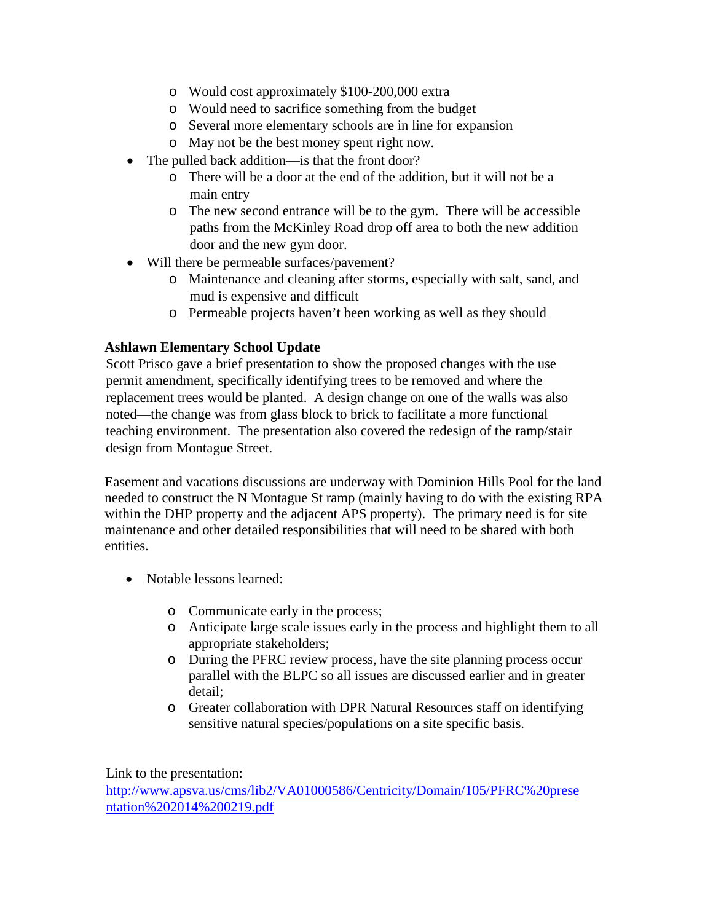- o Would cost approximately \$100-200,000 extra
- o Would need to sacrifice something from the budget
- o Several more elementary schools are in line for expansion
- o May not be the best money spent right now.
- The pulled back addition—is that the front door?
	- o There will be a door at the end of the addition, but it will not be a main entry
	- o The new second entrance will be to the gym. There will be accessible paths from the McKinley Road drop off area to both the new addition door and the new gym door.
- Will there be permeable surfaces/pavement?
	- o Maintenance and cleaning after storms, especially with salt, sand, and mud is expensive and difficult
	- o Permeable projects haven't been working as well as they should

#### **Ashlawn Elementary School Update**

Scott Prisco gave a brief presentation to show the proposed changes with the use permit amendment, specifically identifying trees to be removed and where the replacement trees would be planted. A design change on one of the walls was also noted—the change was from glass block to brick to facilitate a more functional teaching environment. The presentation also covered the redesign of the ramp/stair design from Montague Street.

Easement and vacations discussions are underway with Dominion Hills Pool for the land needed to construct the N Montague St ramp (mainly having to do with the existing RPA within the DHP property and the adjacent APS property). The primary need is for site maintenance and other detailed responsibilities that will need to be shared with both entities.

- Notable lessons learned:
	- o Communicate early in the process;
	- o Anticipate large scale issues early in the process and highlight them to all appropriate stakeholders;
	- o During the PFRC review process, have the site planning process occur parallel with the BLPC so all issues are discussed earlier and in greater detail;
	- o Greater collaboration with DPR Natural Resources staff on identifying sensitive natural species/populations on a site specific basis.

Link to the presentation:

[http://www.apsva.us/cms/lib2/VA01000586/Centricity/Domain/105/PFRC%20prese](http://www.apsva.us/cms/lib2/VA01000586/Centricity/Domain/105/PFRC%20presentation%202014%200219.pdf) [ntation%202014%200219.pdf](http://www.apsva.us/cms/lib2/VA01000586/Centricity/Domain/105/PFRC%20presentation%202014%200219.pdf)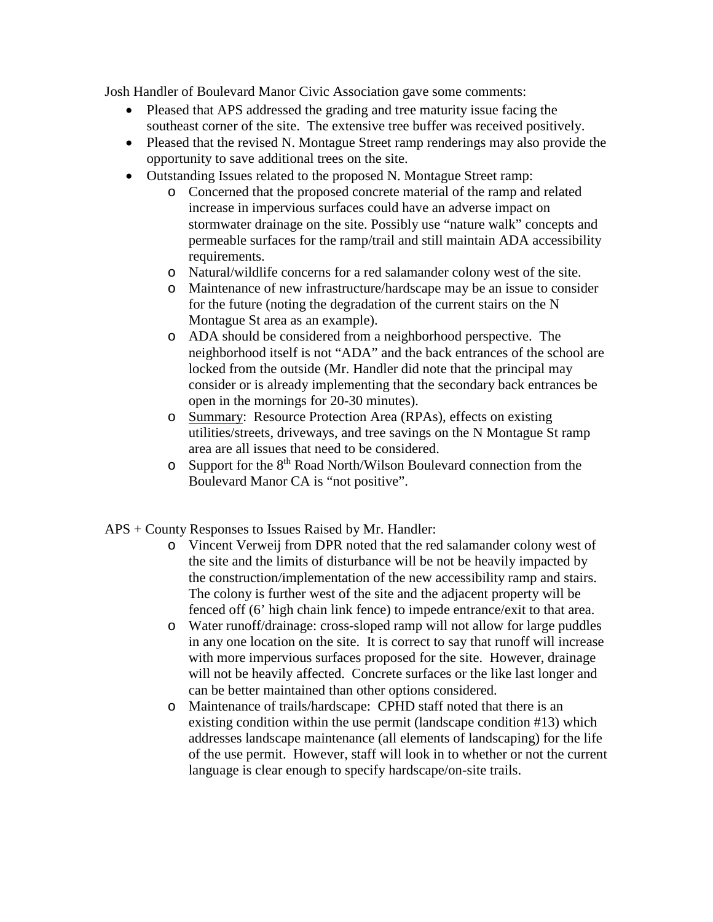Josh Handler of Boulevard Manor Civic Association gave some comments:

- Pleased that APS addressed the grading and tree maturity issue facing the southeast corner of the site. The extensive tree buffer was received positively.
- Pleased that the revised N. Montague Street ramp renderings may also provide the opportunity to save additional trees on the site.
- Outstanding Issues related to the proposed N. Montague Street ramp:
	- o Concerned that the proposed concrete material of the ramp and related increase in impervious surfaces could have an adverse impact on stormwater drainage on the site. Possibly use "nature walk" concepts and permeable surfaces for the ramp/trail and still maintain ADA accessibility requirements.
	- o Natural/wildlife concerns for a red salamander colony west of the site.
	- o Maintenance of new infrastructure/hardscape may be an issue to consider for the future (noting the degradation of the current stairs on the N Montague St area as an example).
	- o ADA should be considered from a neighborhood perspective. The neighborhood itself is not "ADA" and the back entrances of the school are locked from the outside (Mr. Handler did note that the principal may consider or is already implementing that the secondary back entrances be open in the mornings for 20-30 minutes).
	- o Summary: Resource Protection Area (RPAs), effects on existing utilities/streets, driveways, and tree savings on the N Montague St ramp area are all issues that need to be considered.
	- $\circ$  Support for the 8<sup>th</sup> Road North/Wilson Boulevard connection from the Boulevard Manor CA is "not positive".
- APS + County Responses to Issues Raised by Mr. Handler:
	- o Vincent Verweij from DPR noted that the red salamander colony west of the site and the limits of disturbance will be not be heavily impacted by the construction/implementation of the new accessibility ramp and stairs. The colony is further west of the site and the adjacent property will be fenced off (6' high chain link fence) to impede entrance/exit to that area.
	- o Water runoff/drainage: cross-sloped ramp will not allow for large puddles in any one location on the site. It is correct to say that runoff will increase with more impervious surfaces proposed for the site. However, drainage will not be heavily affected. Concrete surfaces or the like last longer and can be better maintained than other options considered.
	- o Maintenance of trails/hardscape: CPHD staff noted that there is an existing condition within the use permit (landscape condition #13) which addresses landscape maintenance (all elements of landscaping) for the life of the use permit. However, staff will look in to whether or not the current language is clear enough to specify hardscape/on-site trails.